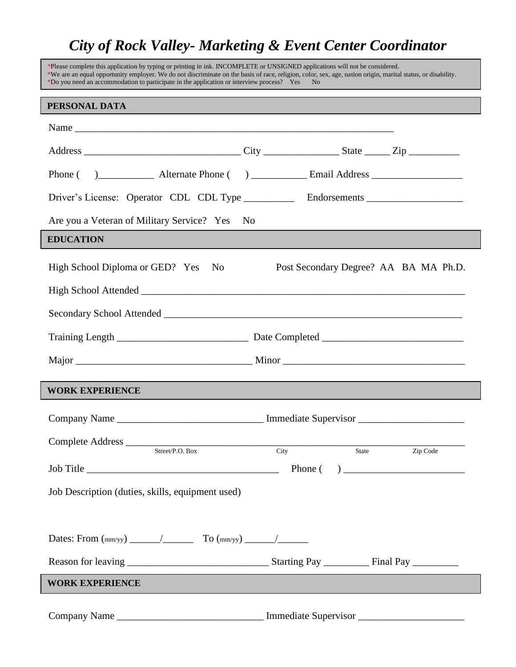## *City of Rock Valley- Marketing & Event Center Coordinator*

| *Please complete this application by typing or printing in ink. INCOMPLETE or UNSIGNED applications will not be considered.<br>*Do you need an accommodation to participate in the application or interview process? Yes | *We are an equal opportunity employer. We do not discriminate on the basis of race, religion, color, sex, age, nation origin, marital status, or disability.<br>N <sub>o</sub> |
|--------------------------------------------------------------------------------------------------------------------------------------------------------------------------------------------------------------------------|--------------------------------------------------------------------------------------------------------------------------------------------------------------------------------|
| PERSONAL DATA                                                                                                                                                                                                            |                                                                                                                                                                                |
|                                                                                                                                                                                                                          |                                                                                                                                                                                |
|                                                                                                                                                                                                                          |                                                                                                                                                                                |
|                                                                                                                                                                                                                          |                                                                                                                                                                                |
|                                                                                                                                                                                                                          | Driver's License: Operator CDL CDL Type _____________ Endorsements ______________                                                                                              |
| Are you a Veteran of Military Service? Yes                                                                                                                                                                               | N <sub>0</sub>                                                                                                                                                                 |
| <b>EDUCATION</b>                                                                                                                                                                                                         |                                                                                                                                                                                |
| High School Diploma or GED? Yes<br>N <sub>0</sub>                                                                                                                                                                        | Post Secondary Degree? AA BA MA Ph.D.                                                                                                                                          |
|                                                                                                                                                                                                                          |                                                                                                                                                                                |
|                                                                                                                                                                                                                          |                                                                                                                                                                                |
|                                                                                                                                                                                                                          |                                                                                                                                                                                |
|                                                                                                                                                                                                                          |                                                                                                                                                                                |
| <b>WORK EXPERIENCE</b>                                                                                                                                                                                                   |                                                                                                                                                                                |
|                                                                                                                                                                                                                          | Company Name ___________________________________ Immediate Supervisor ______________________________                                                                           |
| Complete Address                                                                                                                                                                                                         |                                                                                                                                                                                |
| Street/P.O. Box                                                                                                                                                                                                          | Zip Code<br>City<br>State                                                                                                                                                      |
|                                                                                                                                                                                                                          |                                                                                                                                                                                |
| Job Description (duties, skills, equipment used)                                                                                                                                                                         |                                                                                                                                                                                |
|                                                                                                                                                                                                                          |                                                                                                                                                                                |
| Dates: From $\frac{(\text{mm/yy})}{\text{mm/yy}}$ To $\frac{(\text{mm/yy})}{\text{mm/yy}}$                                                                                                                               |                                                                                                                                                                                |
|                                                                                                                                                                                                                          |                                                                                                                                                                                |
| <b>WORK EXPERIENCE</b>                                                                                                                                                                                                   |                                                                                                                                                                                |
|                                                                                                                                                                                                                          |                                                                                                                                                                                |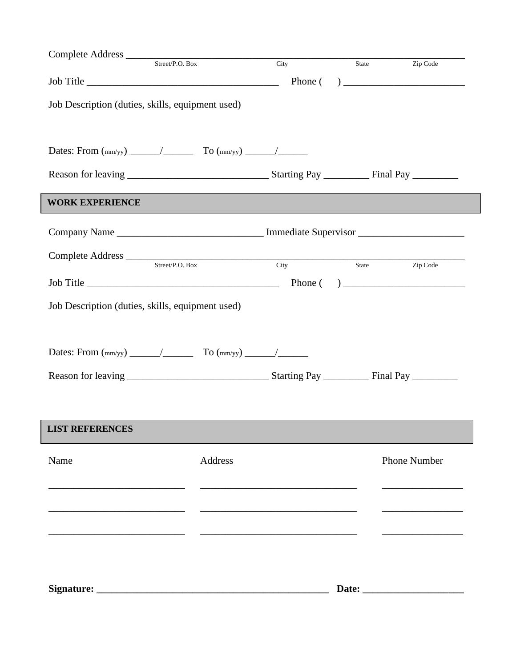|                                                   |                                                                                                                                                                                                                                     | City | State | Zip Code            |
|---------------------------------------------------|-------------------------------------------------------------------------------------------------------------------------------------------------------------------------------------------------------------------------------------|------|-------|---------------------|
|                                                   | $Job Title$ $100$ $200$ $200$ $200$ $200$ $200$ $200$ $200$ $200$ $200$ $200$ $200$ $200$ $200$ $200$ $200$ $200$ $200$ $200$ $200$ $200$ $200$ $200$ $200$ $200$ $200$ $200$ $200$ $200$ $200$ $200$ $200$ $200$ $200$ $200$ $200$ |      |       |                     |
| Job Description (duties, skills, equipment used)  |                                                                                                                                                                                                                                     |      |       |                     |
|                                                   |                                                                                                                                                                                                                                     |      |       |                     |
|                                                   |                                                                                                                                                                                                                                     |      |       |                     |
| <b>WORK EXPERIENCE</b>                            |                                                                                                                                                                                                                                     |      |       |                     |
|                                                   |                                                                                                                                                                                                                                     |      |       |                     |
| Complete Address Street/P.O. Box City State State |                                                                                                                                                                                                                                     |      |       | Zip Code            |
|                                                   |                                                                                                                                                                                                                                     |      |       |                     |
| Job Description (duties, skills, equipment used)  |                                                                                                                                                                                                                                     |      |       |                     |
|                                                   |                                                                                                                                                                                                                                     |      |       |                     |
|                                                   |                                                                                                                                                                                                                                     |      |       |                     |
|                                                   |                                                                                                                                                                                                                                     |      |       |                     |
|                                                   |                                                                                                                                                                                                                                     |      |       |                     |
| <b>LIST REFERENCES</b>                            |                                                                                                                                                                                                                                     |      |       |                     |
| Name                                              | Address                                                                                                                                                                                                                             |      |       | <b>Phone Number</b> |
|                                                   |                                                                                                                                                                                                                                     |      |       |                     |
|                                                   |                                                                                                                                                                                                                                     |      |       |                     |
|                                                   |                                                                                                                                                                                                                                     |      |       |                     |
|                                                   |                                                                                                                                                                                                                                     |      |       |                     |
|                                                   |                                                                                                                                                                                                                                     |      |       |                     |
|                                                   |                                                                                                                                                                                                                                     |      |       |                     |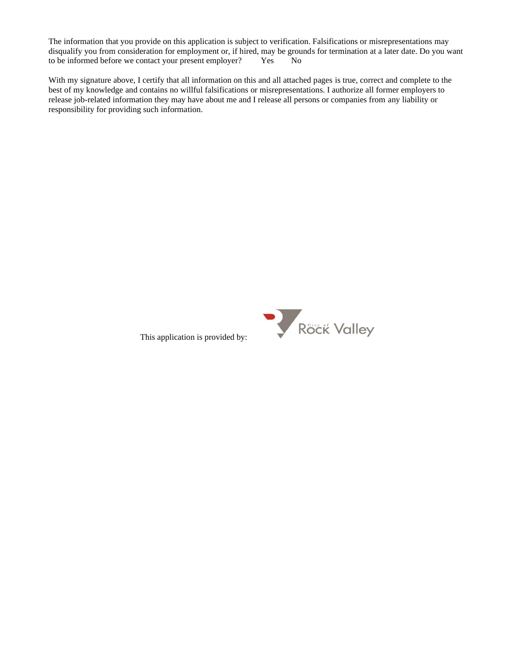The information that you provide on this application is subject to verification. Falsifications or misrepresentations may disqualify you from consideration for employment or, if hired, may be grounds for termination at a later date. Do you want to be informed before we contact your present employer? Yes No

With my signature above, I certify that all information on this and all attached pages is true, correct and complete to the best of my knowledge and contains no willful falsifications or misrepresentations. I authorize all former employers to release job-related information they may have about me and I release all persons or companies from any liability or responsibility for providing such information.



This application is provided by: